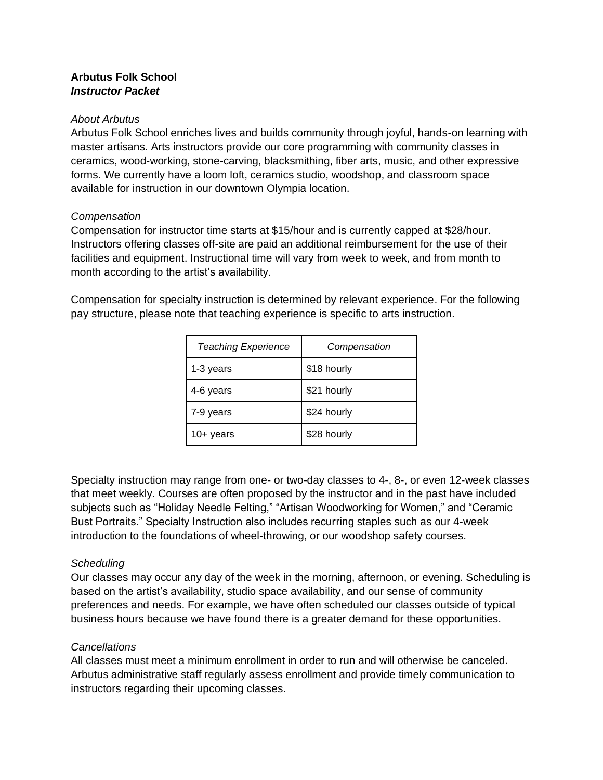# **Arbutus Folk School** *Instructor Packet*

#### *About Arbutus*

Arbutus Folk School enriches lives and builds community through joyful, hands-on learning with master artisans. Arts instructors provide our core programming with community classes in ceramics, wood-working, stone-carving, blacksmithing, fiber arts, music, and other expressive forms. We currently have a loom loft, ceramics studio, woodshop, and classroom space available for instruction in our downtown Olympia location.

## *Compensation*

Compensation for instructor time starts at \$15/hour and is currently capped at \$28/hour. Instructors offering classes off-site are paid an additional reimbursement for the use of their facilities and equipment. Instructional time will vary from week to week, and from month to month according to the artist's availability.

Compensation for specialty instruction is determined by relevant experience. For the following pay structure, please note that teaching experience is specific to arts instruction.

| <b>Teaching Experience</b> | Compensation |
|----------------------------|--------------|
| 1-3 years                  | \$18 hourly  |
| 4-6 years                  | \$21 hourly  |
| 7-9 years                  | \$24 hourly  |
| $10+$ years                | \$28 hourly  |

Specialty instruction may range from one- or two-day classes to 4-, 8-, or even 12-week classes that meet weekly. Courses are often proposed by the instructor and in the past have included subjects such as "Holiday Needle Felting," "Artisan Woodworking for Women," and "Ceramic Bust Portraits." Specialty Instruction also includes recurring staples such as our 4-week introduction to the foundations of wheel-throwing, or our woodshop safety courses.

## *Scheduling*

Our classes may occur any day of the week in the morning, afternoon, or evening. Scheduling is based on the artist's availability, studio space availability, and our sense of community preferences and needs. For example, we have often scheduled our classes outside of typical business hours because we have found there is a greater demand for these opportunities.

## *Cancellations*

All classes must meet a minimum enrollment in order to run and will otherwise be canceled. Arbutus administrative staff regularly assess enrollment and provide timely communication to instructors regarding their upcoming classes.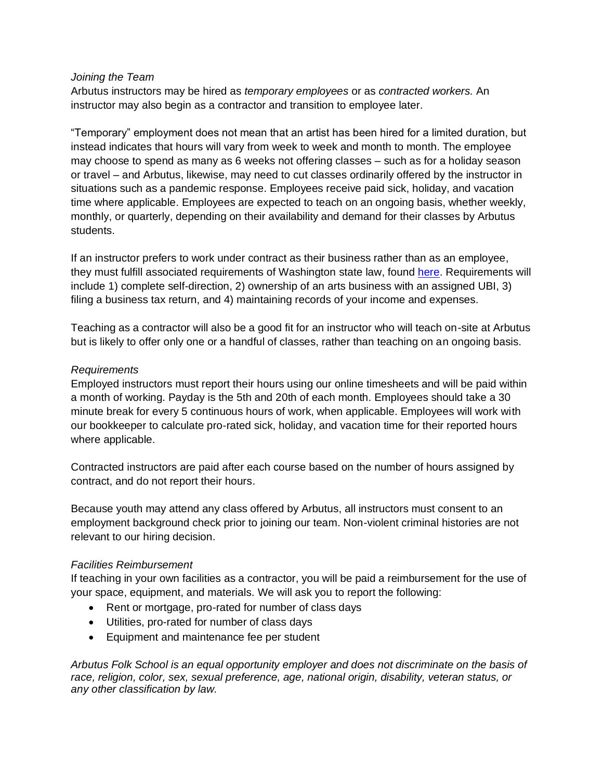#### *Joining the Team*

Arbutus instructors may be hired as *temporary employees* or as *contracted workers.* An instructor may also begin as a contractor and transition to employee later.

"Temporary" employment does not mean that an artist has been hired for a limited duration, but instead indicates that hours will vary from week to week and month to month. The employee may choose to spend as many as 6 weeks not offering classes – such as for a holiday season or travel – and Arbutus, likewise, may need to cut classes ordinarily offered by the instructor in situations such as a pandemic response. Employees receive paid sick, holiday, and vacation time where applicable. Employees are expected to teach on an ongoing basis, whether weekly, monthly, or quarterly, depending on their availability and demand for their classes by Arbutus students.

If an instructor prefers to work under contract as their business rather than as an employee, they must fulfill associated requirements of Washington state law, found [here.](https://app.leg.wa.gov/RCW/default.aspx?cite=51.08.195) Requirements will include 1) complete self-direction, 2) ownership of an arts business with an assigned UBI, 3) filing a business tax return, and 4) maintaining records of your income and expenses.

Teaching as a contractor will also be a good fit for an instructor who will teach on-site at Arbutus but is likely to offer only one or a handful of classes, rather than teaching on an ongoing basis.

#### *Requirements*

Employed instructors must report their hours using our online timesheets and will be paid within a month of working. Payday is the 5th and 20th of each month. Employees should take a 30 minute break for every 5 continuous hours of work, when applicable. Employees will work with our bookkeeper to calculate pro-rated sick, holiday, and vacation time for their reported hours where applicable.

Contracted instructors are paid after each course based on the number of hours assigned by contract, and do not report their hours.

Because youth may attend any class offered by Arbutus, all instructors must consent to an employment background check prior to joining our team. Non-violent criminal histories are not relevant to our hiring decision.

## *Facilities Reimbursement*

If teaching in your own facilities as a contractor, you will be paid a reimbursement for the use of your space, equipment, and materials. We will ask you to report the following:

- Rent or mortgage, pro-rated for number of class days
- Utilities, pro-rated for number of class days
- Equipment and maintenance fee per student

*Arbutus Folk School is an equal opportunity employer and does not discriminate on the basis of race, religion, color, sex, sexual preference, age, national origin, disability, veteran status, or any other classification by law.*